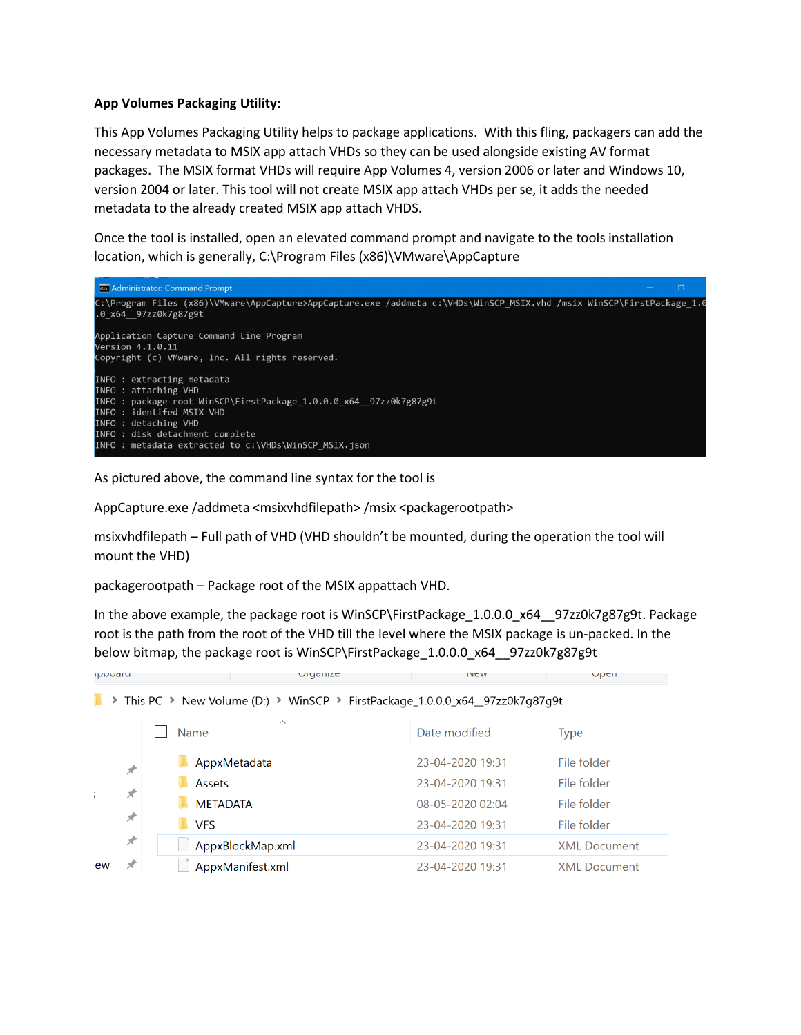#### **App Volumes Packaging Utility:**

This App Volumes Packaging Utility helps to package applications. With this fling, packagers can add the necessary metadata to MSIX app attach VHDs so they can be used alongside existing AV format packages. The MSIX format VHDs will require App Volumes 4, version 2006 or later and Windows 10, version 2004 or later. This tool will not create MSIX app attach VHDs per se, it adds the needed metadata to the already created MSIX app attach VHDS.

Once the tool is installed, open an elevated command prompt and navigate to the tools installation location, which is generally, C:\Program Files (x86)\VMware\AppCapture



As pictured above, the command line syntax for the tool is

AppCapture.exe /addmeta <msixvhdfilepath> /msix <packagerootpath>

msixvhdfilepath – Full path of VHD (VHD shouldn't be mounted, during the operation the tool will mount the VHD)

packagerootpath – Package root of the MSIX appattach VHD.

In the above example, the package root is WinSCP\FirstPackage\_1.0.0.0\_x64\_\_97zz0k7g87g9t. Package root is the path from the root of the VHD till the level where the MSIX package is un-packed. In the below bitmap, the package root is WinSCP\FirstPackage\_1.0.0.0\_x64\_\_97zz0k7g87g9t

 $i$ vev

Upen

**Ippoaru** 

**I** > This PC > New Volume (D:) > WinSCP > FirstPackage 1.0.0.0 x64 97zz0k7q87q9t

Urganize

|    |                    | $\wedge$<br><b>Name</b> | Date modified    | Type                |
|----|--------------------|-------------------------|------------------|---------------------|
|    | 术                  | AppxMetadata            | 23-04-2020 19:31 | File folder         |
|    |                    | <b>Assets</b>           | 23-04-2020 19:31 | File folder         |
|    | ж                  | <b>METADATA</b>         | 08-05-2020 02:04 | File folder         |
|    | $\mathcal{R}$<br>术 | <b>VFS</b>              | 23-04-2020 19:31 | File folder         |
|    |                    | AppxBlockMap.xml        | 23-04-2020 19:31 | <b>XML Document</b> |
| ew | $\mathcal{R}$      | AppxManifest.xml        | 23-04-2020 19:31 | <b>XML Document</b> |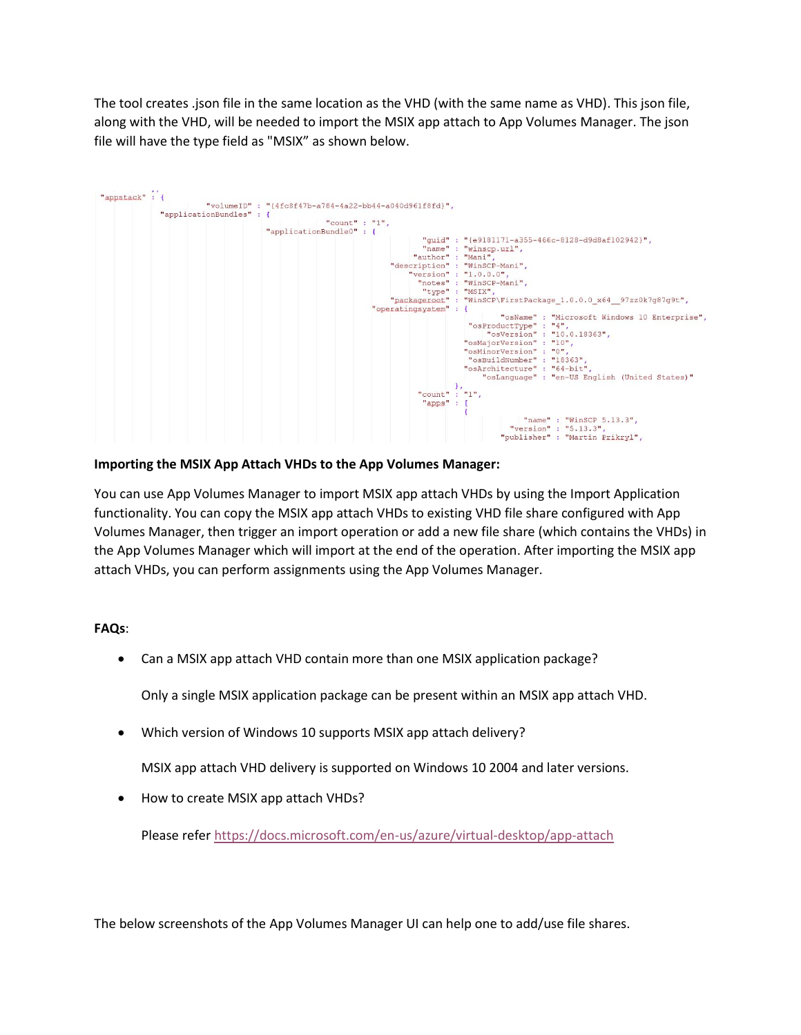The tool creates .json file in the same location as the VHD (with the same name as VHD). This json file, along with the VHD, will be needed to import the MSIX app attach to App Volumes Manager. The json file will have the type field as "MSIX" as shown below.



#### **Importing the MSIX App Attach VHDs to the App Volumes Manager:**

You can use App Volumes Manager to import MSIX app attach VHDs by using the Import Application functionality. You can copy the MSIX app attach VHDs to existing VHD file share configured with App Volumes Manager, then trigger an import operation or add a new file share (which contains the VHDs) in the App Volumes Manager which will import at the end of the operation. After importing the MSIX app attach VHDs, you can perform assignments using the App Volumes Manager.

#### **FAQs**:

• Can a MSIX app attach VHD contain more than one MSIX application package?

Only a single MSIX application package can be present within an MSIX app attach VHD.

• Which version of Windows 10 supports MSIX app attach delivery?

MSIX app attach VHD delivery is supported on Windows 10 2004 and later versions.

• How to create MSIX app attach VHDs?

Please refe[r https://docs.microsoft.com/en-us/azure/virtual-desktop/app-attach](https://docs.microsoft.com/en-us/azure/virtual-desktop/app-attach)

The below screenshots of the App Volumes Manager UI can help one to add/use file shares.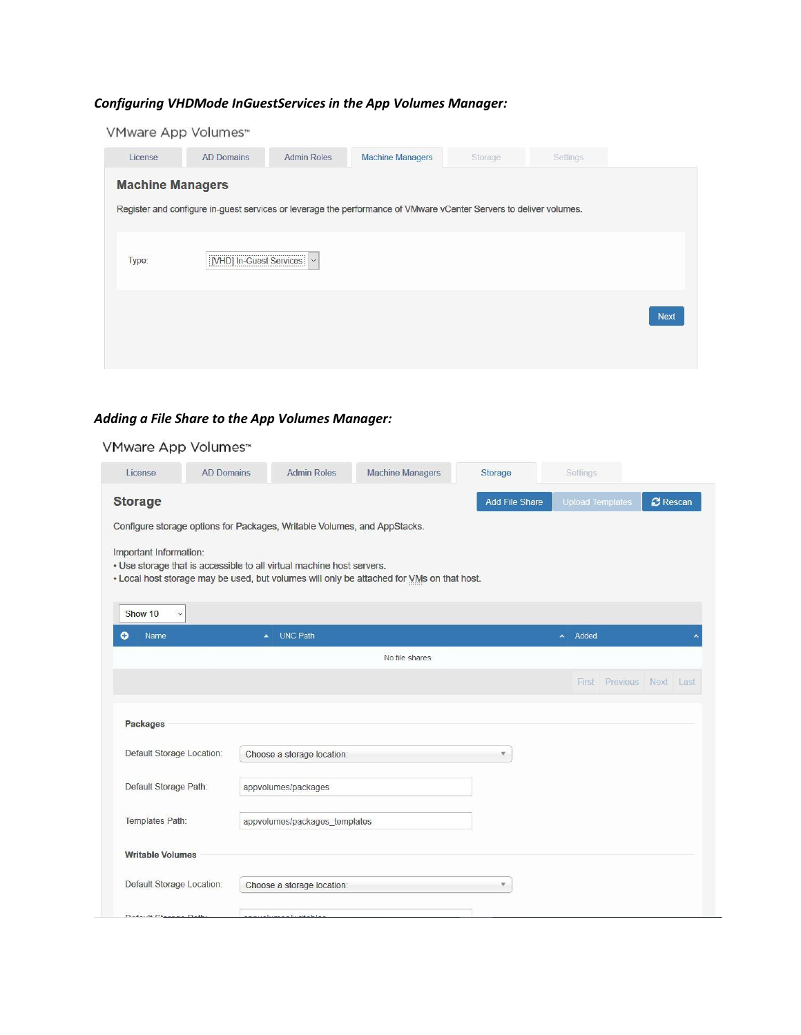## *Configuring VHDMode InGuestServices in the App Volumes Manager:*

|         | VMware App Volumes <sup>**</sup> |                             |                                                                                                                    |         |          |      |
|---------|----------------------------------|-----------------------------|--------------------------------------------------------------------------------------------------------------------|---------|----------|------|
| License | <b>AD Domains</b>                | <b>Admin Roles</b>          | <b>Machine Managers</b>                                                                                            | Storage | Settings |      |
|         | <b>Machine Managers</b>          |                             |                                                                                                                    |         |          |      |
|         |                                  |                             | Register and configure in-guest services or leverage the performance of VMware vCenter Servers to deliver volumes. |         |          |      |
|         |                                  |                             |                                                                                                                    |         |          |      |
| Type:   |                                  | [VHD] In-Guest Services   v |                                                                                                                    |         |          |      |
|         |                                  |                             |                                                                                                                    |         |          |      |
|         |                                  |                             |                                                                                                                    |         |          | Next |
|         |                                  |                             |                                                                                                                    |         |          |      |
|         |                                  |                             |                                                                                                                    |         |          |      |

## *Adding a File Share to the App Volumes Manager:*

### VMware App Volumes™

| License                   | <b>AD Domains</b> | <b>Admin Roles</b>                                                       | <b>Machine Managers</b>                                                                   | Storage                 | Settings                |                          |
|---------------------------|-------------------|--------------------------------------------------------------------------|-------------------------------------------------------------------------------------------|-------------------------|-------------------------|--------------------------|
| <b>Storage</b>            |                   |                                                                          |                                                                                           | <b>Add File Share</b>   | <b>Upload Templates</b> | <b>C</b> Rescan          |
|                           |                   | Configure storage options for Packages, Writable Volumes, and AppStacks. |                                                                                           |                         |                         |                          |
| Important Information:    |                   | . Use storage that is accessible to all virtual machine host servers.    | . Local host storage may be used, but volumes will only be attached for VMs on that host. |                         |                         |                          |
| Show 10<br>$\checkmark$   |                   |                                                                          |                                                                                           |                         |                         |                          |
| $\bullet$<br>Name         |                   | <b>UNC Path</b><br>٠                                                     |                                                                                           |                         | Added<br>×              |                          |
|                           |                   |                                                                          | No file shares                                                                            |                         |                         |                          |
|                           |                   |                                                                          |                                                                                           |                         |                         | First Previous Next Last |
| Packages                  |                   |                                                                          |                                                                                           |                         |                         |                          |
| Default Storage Location: |                   | Choose a storage location:                                               |                                                                                           | $\overline{\mathbf{v}}$ |                         |                          |
| Default Storage Path:     |                   | appvolumes/packages                                                      |                                                                                           |                         |                         |                          |
| Templates Path:           |                   | appvolumes/packages templates                                            |                                                                                           |                         |                         |                          |
| <b>Writable Volumes</b>   |                   |                                                                          |                                                                                           |                         |                         |                          |
| Default Storage Location: |                   | Choose a storage location:                                               |                                                                                           |                         |                         |                          |
| Default Chappen Doll      |                   | دا دادشته به مدهسها                                                      |                                                                                           |                         |                         |                          |